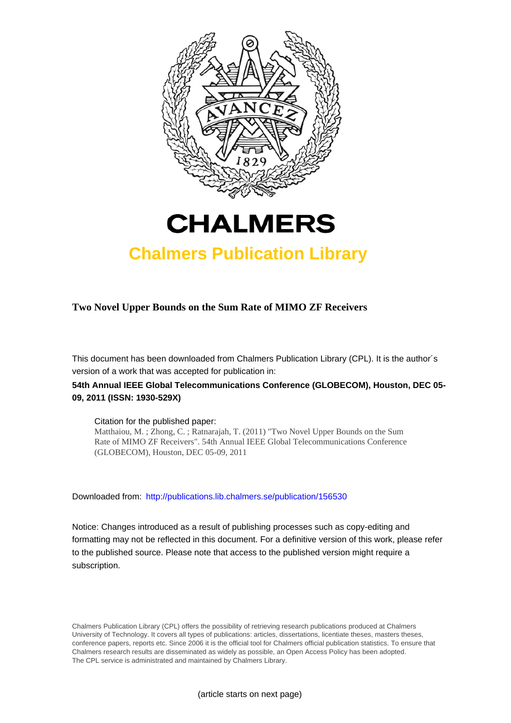



## **Chalmers Publication Library**

### **Two Novel Upper Bounds on the Sum Rate of MIMO ZF Receivers**

This document has been downloaded from Chalmers Publication Library (CPL). It is the author´s version of a work that was accepted for publication in:

## **54th Annual IEEE Global Telecommunications Conference (GLOBECOM), Houston, DEC 05- 09, 2011 (ISSN: 1930-529X)**

#### Citation for the published paper:

Matthaiou, M. ; Zhong, C. ; Ratnarajah, T. (2011) "Two Novel Upper Bounds on the Sum Rate of MIMO ZF Receivers". 54th Annual IEEE Global Telecommunications Conference (GLOBECOM), Houston, DEC 05-09, 2011

Downloaded from: <http://publications.lib.chalmers.se/publication/156530>

Notice: Changes introduced as a result of publishing processes such as copy-editing and formatting may not be reflected in this document. For a definitive version of this work, please refer to the published source. Please note that access to the published version might require a subscription.

Chalmers Publication Library (CPL) offers the possibility of retrieving research publications produced at Chalmers University of Technology. It covers all types of publications: articles, dissertations, licentiate theses, masters theses, conference papers, reports etc. Since 2006 it is the official tool for Chalmers official publication statistics. To ensure that Chalmers research results are disseminated as widely as possible, an Open Access Policy has been adopted. The CPL service is administrated and maintained by Chalmers Library.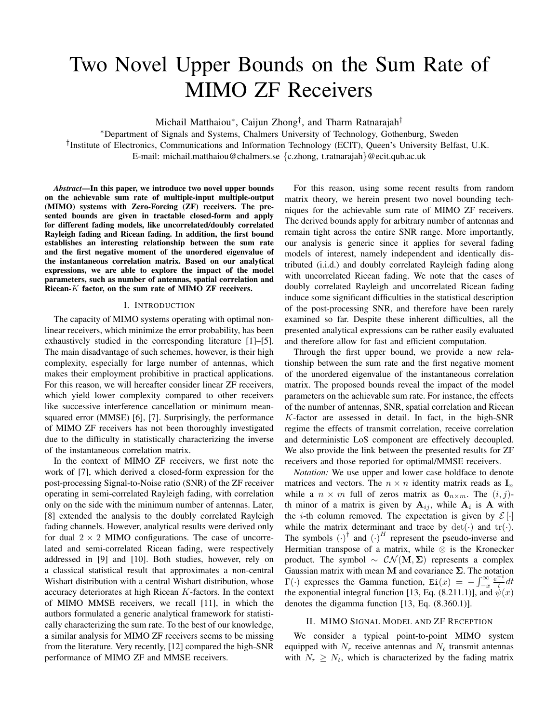# Two Novel Upper Bounds on the Sum Rate of MIMO ZF Receivers

Michail Matthaiou∗, Caijun Zhong†, and Tharm Ratnarajah†

∗Department of Signals and Systems, Chalmers University of Technology, Gothenburg, Sweden †Institute of Electronics, Communications and Information Technology (ECIT), Queen's University Belfast, U.K. E-mail: michail.matthaiou@chalmers.se {c.zhong, t.ratnarajah}@ecit.qub.ac.uk

*Abstract***—In this paper, we introduce two novel upper bounds on the achievable sum rate of multiple-input multiple-output (MIMO) systems with Zero-Forcing (ZF) receivers. The presented bounds are given in tractable closed-form and apply for different fading models, like uncorrelated/doubly correlated Rayleigh fading and Ricean fading. In addition, the first bound establishes an interesting relationship between the sum rate and the first negative moment of the unordered eigenvalue of the instantaneous correlation matrix. Based on our analytical expressions, we are able to explore the impact of the model parameters, such as number of antennas, spatial correlation and Ricean-***K* **factor, on the sum rate of MIMO ZF receivers.**

#### I. INTRODUCTION

The capacity of MIMO systems operating with optimal nonlinear receivers, which minimize the error probability, has been exhaustively studied in the corresponding literature [1]–[5]. The main disadvantage of such schemes, however, is their high complexity, especially for large number of antennas, which makes their employment prohibitive in practical applications. For this reason, we will hereafter consider linear ZF receivers, which yield lower complexity compared to other receivers like successive interference cancellation or minimum meansquared error (MMSE) [6], [7]. Surprisingly, the performance of MIMO ZF receivers has not been thoroughly investigated due to the difficulty in statistically characterizing the inverse of the instantaneous correlation matrix.

In the context of MIMO ZF receivers, we first note the work of [7], which derived a closed-form expression for the post-processing Signal-to-Noise ratio (SNR) of the ZF receiver operating in semi-correlated Rayleigh fading, with correlation only on the side with the minimum number of antennas. Later, [8] extended the analysis to the doubly correlated Rayleigh fading channels. However, analytical results were derived only for dual  $2 \times 2$  MIMO configurations. The case of uncorrelated and semi-correlated Ricean fading, were respectively addressed in [9] and [10]. Both studies, however, rely on a classical statistical result that approximates a non-central Wishart distribution with a central Wishart distribution, whose accuracy deteriorates at high Ricean K-factors. In the context of MIMO MMSE receivers, we recall [11], in which the authors formulated a generic analytical framework for statistically characterizing the sum rate. To the best of our knowledge, a similar analysis for MIMO ZF receivers seems to be missing from the literature. Very recently, [12] compared the high-SNR performance of MIMO ZF and MMSE receivers.

For this reason, using some recent results from random matrix theory, we herein present two novel bounding techniques for the achievable sum rate of MIMO ZF receivers. The derived bounds apply for arbitrary number of antennas and remain tight across the entire SNR range. More importantly, our analysis is generic since it applies for several fading models of interest, namely independent and identically distributed (i.i.d.) and doubly correlated Rayleigh fading along with uncorrelated Ricean fading. We note that the cases of doubly correlated Rayleigh and uncorrelated Ricean fading induce some significant difficulties in the statistical description of the post-processing SNR, and therefore have been rarely examined so far. Despite these inherent difficulties, all the presented analytical expressions can be rather easily evaluated and therefore allow for fast and efficient computation.

Through the first upper bound, we provide a new relationship between the sum rate and the first negative moment of the unordered eigenvalue of the instantaneous correlation matrix. The proposed bounds reveal the impact of the model parameters on the achievable sum rate. For instance, the effects of the number of antennas, SNR, spatial correlation and Ricean K-factor are assessed in detail. In fact, in the high-SNR regime the effects of transmit correlation, receive correlation and deterministic LoS component are effectively decoupled. We also provide the link between the presented results for ZF receivers and those reported for optimal/MMSE receivers.

*Notation:* We use upper and lower case boldface to denote matrices and vectors. The  $n \times n$  identity matrix reads as  $\mathbf{I}_n$ while a  $n \times m$  full of zeros matrix as  $\mathbf{0}_{n \times m}$ . The  $(i, j)$ th minor of a matrix is given by  $A_{ij}$ , while  $A_i$  is A with the *i*-th column removed. The expectation is given by  $\mathcal{E}[\cdot]$ while the matrix determinant and trace by  $det(\cdot)$  and  $tr(\cdot)$ . The symbols  $(\cdot)^{\dagger}$  and  $(\cdot)^{H}$  represent the pseudo-inverse and Hermitian transpose of a matrix, while  $\otimes$  is the Kronecker product. The symbol  $\sim \mathcal{CN}(\mathbf{M}, \Sigma)$  represents a complex Gaussian matrix with mean **M** and covariance **Σ**. The notation  $\Gamma(\cdot)$  expresses the Gamma function,  $\text{Ei}(x) = -\int_{-x}^{\infty}$  $\frac{e^{-t}}{t}dt$ the exponential integral function [13, Eq. (8.211.1)], and  $\psi(x)$ denotes the digamma function [13, Eq. (8.360.1)].

#### II. MIMO SIGNAL MODEL AND ZF RECEPTION

We consider a typical point-to-point MIMO system equipped with  $N_r$  receive antennas and  $N_t$  transmit antennas with  $N_r \geq N_t$ , which is characterized by the fading matrix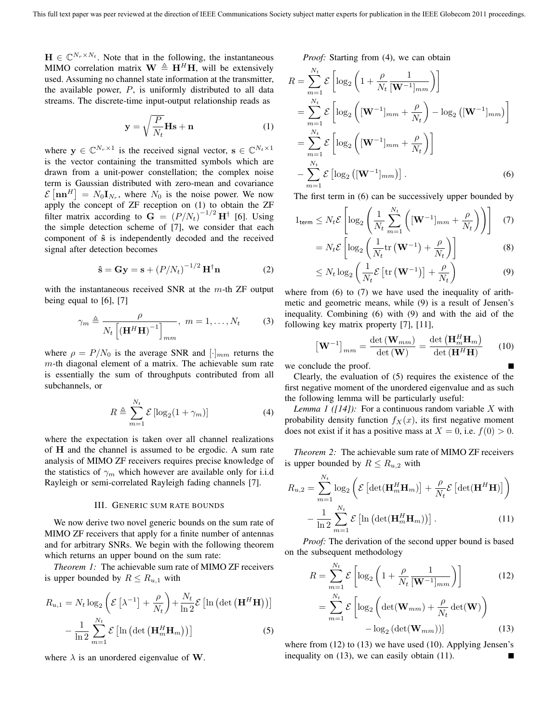$\mathbf{H} \in \mathbb{C}^{N_r \times N_t}$ . Note that in the following, the instantaneous MIMO correlation matrix  $\mathbf{W} \triangleq \mathbf{H}^H \mathbf{H}$ , will be extensively used. Assuming no channel state information at the transmitter, the available power,  $P$ , is uniformly distributed to all data streams. The discrete-time input-output relationship reads as

$$
\mathbf{y} = \sqrt{\frac{P}{N_t}} \mathbf{Hs} + \mathbf{n}
$$
 (1)

where  $y \in \mathbb{C}^{N_r \times 1}$  is the received signal vector,  $\mathbf{s} \in \mathbb{C}^{N_t \times 1}$ is the vector containing the transmitted symbols which are drawn from a unit-power constellation; the complex noise term is Gaussian distributed with zero-mean and covariance  $\mathcal{E}\left[\mathbf{n}\mathbf{n}^H\right] = N_0 \mathbf{I}_{N_r}$ , where  $N_0$  is the noise power. We now apply the concept of ZF reception on (1) to obtain the ZF filter matrix according to  $\mathbf{G} = (P/N_t)^{-1/2} \mathbf{H}^{\dagger}$  [6]. Using the simple detection scheme of [7], we consider that each component of **ˆs** is independently decoded and the received signal after detection becomes

$$
\hat{\mathbf{s}} = \mathbf{G}\mathbf{y} = \mathbf{s} + (P/N_t)^{-1/2} \mathbf{H}^\dagger \mathbf{n}
$$
 (2)

with the instantaneous received SNR at the  $m$ -th ZF output being equal to [6], [7]

$$
\gamma_m \triangleq \frac{\rho}{N_t \left[ \left( \mathbf{H}^H \mathbf{H} \right)^{-1} \right]_{mm}}, \ m = 1, \dots, N_t \tag{3}
$$

where  $\rho = P/N_0$  is the average SNR and  $\lbrack \cdot \rbrack_{mm}$  returns the  $m$ -th diagonal element of a matrix. The achievable sum rate is essentially the sum of throughputs contributed from all subchannels, or

$$
R \triangleq \sum_{m=1}^{N_t} \mathcal{E}\left[\log_2(1+\gamma_m)\right]
$$
 (4)

where the expectation is taken over all channel realizations of **H** and the channel is assumed to be ergodic. A sum rate analysis of MIMO ZF receivers requires precise knowledge of the statistics of  $\gamma_m$  which however are available only for i.i.d Rayleigh or semi-correlated Rayleigh fading channels [7].

#### III. GENERIC SUM RATE BOUNDS

We now derive two novel generic bounds on the sum rate of MIMO ZF receivers that apply for a finite number of antennas and for arbitrary SNRs. We begin with the following theorem which returns an upper bound on the sum rate:

*Theorem 1:* The achievable sum rate of MIMO ZF receivers is upper bounded by  $R \le R_{u,1}$  with

$$
R_{u,1} = N_t \log_2 \left( \mathcal{E} \left[ \lambda^{-1} \right] + \frac{\rho}{N_t} \right) + \frac{N_t}{\ln 2} \mathcal{E} \left[ \ln \left( \det \left( \mathbf{H}^H \mathbf{H} \right) \right) \right]
$$

$$
- \frac{1}{\ln 2} \sum_{m=1}^{N_t} \mathcal{E} \left[ \ln \left( \det \left( \mathbf{H}_m^H \mathbf{H}_m \right) \right) \right] \tag{5}
$$

where  $\lambda$  is an unordered eigenvalue of **W**.

*Proof:* Starting from (4), we can obtain

$$
R = \sum_{m=1}^{N_t} \mathcal{E}\left[\log_2\left(1 + \frac{\rho}{N_t} \frac{1}{[\mathbf{W}^{-1}]_{mm}}\right)\right]
$$
  
\n
$$
= \sum_{m=1}^{N_t} \mathcal{E}\left[\log_2\left([\mathbf{W}^{-1}]_{mm} + \frac{\rho}{N_t}\right) - \log_2\left([\mathbf{W}^{-1}]_{mm}\right)\right]
$$
  
\n
$$
= \sum_{m=1}^{N_t} \mathcal{E}\left[\log_2\left([\mathbf{W}^{-1}]_{mm} + \frac{\rho}{N_t}\right)\right]
$$
  
\n
$$
- \sum_{m=1}^{N_t} \mathcal{E}\left[\log_2\left([\mathbf{W}^{-1}]_{mm}\right)\right].
$$
 (6)

The first term in (6) can be successively upper bounded by

$$
1_{\text{term}} \leq N_t \mathcal{E} \left[ \log_2 \left( \frac{1}{N_t} \sum_{m=1}^{N_t} \left( [\mathbf{W}^{-1}]_{mm} + \frac{\rho}{N_t} \right) \right) \right] \quad (7)
$$

$$
= N_t \mathcal{E} \left[ \log_2 \left( \frac{1}{N_t} \text{tr} \left( \mathbf{W}^{-1} \right) + \frac{\rho}{N_t} \right) \right] \quad (8)
$$

$$
= N_t \mathcal{E} \left[ \log_2 \left( \frac{1}{N_t} \text{tr} \left( \mathbf{W}^{-1} \right) + \frac{\rho}{N_t} \right) \right] \tag{8}
$$

$$
\leq N_t \log_2 \left( \frac{1}{N_t} \mathcal{E} \left[ \text{tr} \left( \mathbf{W}^{-1} \right) \right] + \frac{\rho}{N_t} \right) \tag{9}
$$

where from (6) to (7) we have used the inequality of arithmetic and geometric means, while (9) is a result of Jensen's inequality. Combining (6) with (9) and with the aid of the following key matrix property [7], [11],

$$
\left[\mathbf{W}^{-1}\right]_{mm} = \frac{\det\left(\mathbf{W}_{mm}\right)}{\det\left(\mathbf{W}\right)} = \frac{\det\left(\mathbf{H}_{m}^{H}\mathbf{H}_{m}\right)}{\det\left(\mathbf{H}^{H}\mathbf{H}\right)}\tag{10}
$$

we conclude the proof.

Clearly, the evaluation of (5) requires the existence of the first negative moment of the unordered eigenvalue and as such the following lemma will be particularly useful:

*Lemma 1 ([14]):* For a continuous random variable X with probability density function  $f_X(x)$ , its first negative moment does not exist if it has a positive mass at  $X = 0$ , i.e.  $f(0) > 0$ .

*Theorem 2:* The achievable sum rate of MIMO ZF receivers is upper bounded by  $R \le R_{u,2}$  with

$$
R_{u,2} = \sum_{m=1}^{N_t} \log_2 \left( \mathcal{E} \left[ \det(\mathbf{H}_m^H \mathbf{H}_m) \right] + \frac{\rho}{N_t} \mathcal{E} \left[ \det(\mathbf{H}^H \mathbf{H}) \right] \right) - \frac{1}{\ln 2} \sum_{m=1}^{N_t} \mathcal{E} \left[ \ln \left( \det(\mathbf{H}_m^H \mathbf{H}_m) \right) \right].
$$
 (11)

*Proof:* The derivation of the second upper bound is based on the subsequent methodology

$$
R = \sum_{m=1}^{N_t} \mathcal{E}\left[\log_2\left(1 + \frac{\rho}{N_t} \frac{1}{[\mathbf{W}^{-1}]_{mm}}\right)\right]
$$
(12)  

$$
= \sum_{m=1}^{N_t} \mathcal{E}\left[\log_2\left(\det(\mathbf{W}_{mm}) + \frac{\rho}{N_t} \det(\mathbf{W})\right) - \log_2\left(\det(\mathbf{W}_{mm})\right)\right]
$$
(13)

where from (12) to (13) we have used (10). Applying Jensen's inequality on (13), we can easily obtain (11). ٠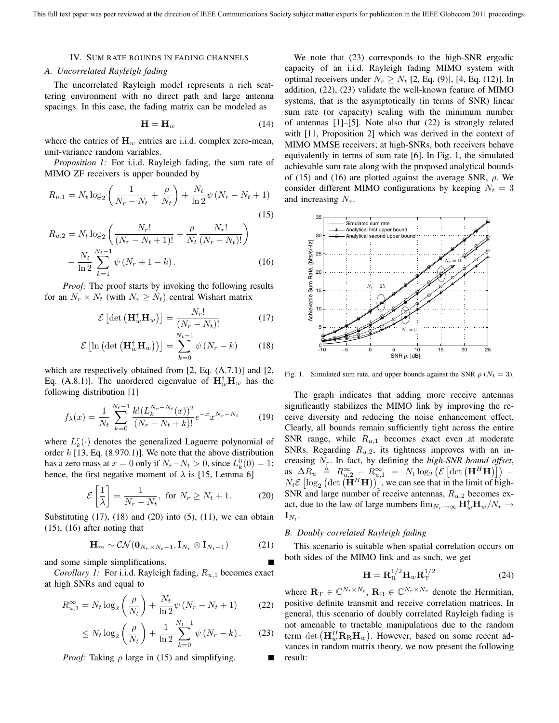#### IV. SUM RATE BOUNDS IN FADING CHANNELS

#### *A. Uncorrelated Rayleigh fading*

The uncorrelated Rayleigh model represents a rich scattering environment with no direct path and large antenna spacings. In this case, the fading matrix can be modeled as

$$
\mathbf{H} = \mathbf{H}_w \tag{14}
$$

where the entries of  $\mathbf{H}_w$  entries are i.i.d. complex zero-mean, unit-variance random variables.

*Proposition 1:* For i.i.d. Rayleigh fading, the sum rate of MIMO ZF receivers is upper bounded by

$$
R_{u,1} = N_t \log_2 \left( \frac{1}{N_r - N_t} + \frac{\rho}{N_t} \right) + \frac{N_t}{\ln 2} \psi \left( N_r - N_t + 1 \right)
$$
\n(15)

$$
R_{u,2} = N_t \log_2 \left( \frac{N_r!}{(N_r - N_t + 1)!} + \frac{\rho}{N_t} \frac{N_r!}{(N_r - N_t)!} \right)
$$

$$
- \frac{N_t}{\ln 2} \sum_{k=1}^{N_t - 1} \psi (N_r + 1 - k).
$$
(16)

*Proof:* The proof starts by invoking the following results for an  $N_r \times N_t$  (with  $N_r \geq N_t$ ) central Wishart matrix

$$
\mathcal{E}\left[\det\left(\mathbf{H}_w^{\dagger}\mathbf{H}_w\right)\right] = \frac{N_r!}{(N_r - N_t)!} \tag{17}
$$

$$
\mathcal{E}\left[\ln\left(\det\left(\mathbf{H}_w^{\dagger}\mathbf{H}_w\right)\right)\right] = \sum_{k=0}^{N_t-1} \psi\left(N_r - k\right) \tag{18}
$$

which are respectively obtained from [2, Eq. (A.7.1)] and [2, Eq. (A.8.1)]. The unordered eigenvalue of  $\mathbf{H}_w^{\dagger} \mathbf{H}_w$  has the following distribution [1]

$$
f_{\lambda}(x) = \frac{1}{N_t} \sum_{k=0}^{N_t - 1} \frac{k! (L_k^{N_r - N_t}(x))^2}{(N_r - N_t + k)!} e^{-x} x^{N_r - N_t}
$$
(19)

where  $L_k^r(\cdot)$  denotes the generalized Laguerre polynomial of order  $k$  [13, Eq. (8.970.1)]. We note that the above distribution has a zero mass at  $x = 0$  only if  $N_r - N_t > 0$ , since  $L_k^0(0) = 1$ ; hence, the first negative moment of  $\lambda$  is [15, Lemma 6]

$$
\mathcal{E}\left[\frac{1}{\lambda}\right] = \frac{1}{N_r - N_t}, \text{ for } N_r \ge N_t + 1. \tag{20}
$$

Substituting  $(17)$ ,  $(18)$  and  $(20)$  into  $(5)$ ,  $(11)$ , we can obtain (15), (16) after noting that

$$
\mathbf{H}_{m} \sim \mathcal{CN}(\mathbf{0}_{N_r \times N_t - 1}, \mathbf{I}_{N_r} \otimes \mathbf{I}_{N_t - 1})
$$
 (21)

and some simple simplifications.

*Corollary 1:* For i.i.d. Rayleigh fading,  $R_{u,1}$  becomes exact at high SNRs and equal to

$$
R_{u,1}^{\infty} = N_t \log_2 \left(\frac{\rho}{N_t}\right) + \frac{N_t}{\ln 2} \psi \left(N_r - N_t + 1\right) \tag{22}
$$

$$
\leq N_t \log_2 \left( \frac{\rho}{N_t} \right) + \frac{1}{\ln 2} \sum_{k=0}^{N_t - 1} \psi \left( N_r - k \right). \tag{23}
$$

*Proof:* Taking  $\rho$  large in (15) and simplifying.

We note that (23) corresponds to the high-SNR ergodic capacity of an i.i.d. Rayleigh fading MIMO system with optimal receivers under  $N_r \ge N_t$  [2, Eq. (9)], [4, Eq. (12)]. In addition, (22), (23) validate the well-known feature of MIMO systems, that is the asymptotically (in terms of SNR) linear sum rate (or capacity) scaling with the minimum number of antennas [1]–[5]. Note also that (22) is strongly related with [11, Proposition 2] which was derived in the context of MIMO MMSE receivers; at high-SNRs, both receivers behave equivalently in terms of sum rate [6]. In Fig. 1, the simulated achievable sum rate along with the proposed analytical bounds of (15) and (16) are plotted against the average SNR,  $\rho$ . We consider different MIMO configurations by keeping  $N_t = 3$ and increasing  $N_r$ .



Fig. 1. Simulated sum rate, and upper bounds against the SNR  $\rho$  ( $N_t = 3$ ).

The graph indicates that adding more receive antennas significantly stabilizes the MIMO link by improving the receive diversity and reducing the noise enhancement effect. Clearly, all bounds remain sufficiently tight across the entire SNR range, while  $R_{u,1}$  becomes exact even at moderate SNRs. Regarding  $R_{u,2}$ , its tightness improves with an increasing Nr. In fact, by defining the *high-SNR bound offset*,  $\Delta R_u \triangleq R_{u,2}^{\infty} - R_{u,1}^{\infty} = N_t \log_2 \left( \mathcal{E} \left[ \det \left( \mathbf{H}^H \mathbf{H} \right) \right] \right) N_t \mathcal{E} \left[ \log_2 \left( \det \left( \mathbf{H}^H \mathbf{H} \right) \right) \right]$ , we can see that in the limit of high-SNR and large number of receive antennas,  $R_{u,2}$  becomes exact, due to the law of large numbers  $\lim_{N_r \to \infty} \mathbf{H}_w^{\dagger} \mathbf{H}_w / N_r \to$  $\mathbf{I}_{N_t}$ .

#### *B. Doubly correlated Rayleigh fading*

This scenario is suitable when spatial correlation occurs on both sides of the MIMO link and as such, we get

$$
\mathbf{H} = \mathbf{R}_{\mathrm{R}}^{1/2} \mathbf{H}_{w} \mathbf{R}_{\mathrm{T}}^{1/2} \tag{24}
$$

where  $\mathbf{R}_{\mathrm{T}} \in \mathbb{C}^{N_t \times N_t}$ ,  $\mathbf{R}_{\mathrm{R}} \in \mathbb{C}^{N_r \times N_r}$  denote the Hermitian, positive definite transmit and receive correlation matrices. In general, this scenario of doubly correlated Rayleigh fading is not amenable to tractable manipulations due to the random term  $\det\left(\mathbf{H}_w^H\mathbf{R}_{\rm R}\mathbf{H}_w\right)$ . However, based on some recent advances in random matrix theory, we now present the following result: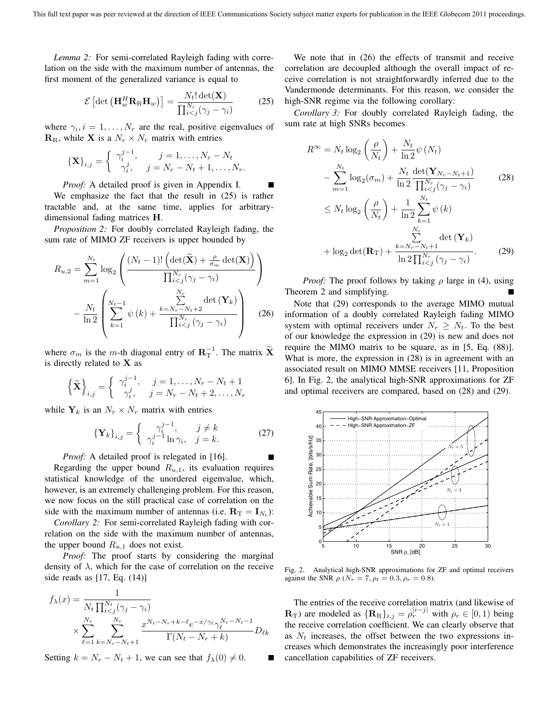*Lemma 2:* For semi-correlated Rayleigh fading with correlation on the side with the maximum number of antennas, the first moment of the generalized variance is equal to

$$
\mathcal{E}\left[\det\left(\mathbf{H}_w^H \mathbf{R}_{\mathrm{R}} \mathbf{H}_w\right)\right] = \frac{N_t! \det(\mathbf{X})}{\prod_{i < j}^{N_r} (\gamma_j - \gamma_i)}\tag{25}
$$

where  $\gamma_i, i = 1, \ldots, N_r$  are the real, positive eigenvalues of  $\mathbf{R}_R$ , while **X** is a  $N_r \times N_r$  matrix with entries

$$
\left\{\mathbf{X}\right\}_{i,j} = \begin{cases} \gamma_i^{j-1}, & j = 1, \dots, N_r - N_t \\ \gamma_i^j, & j = N_r - N_t + 1, \dots, N_r. \end{cases}
$$

*Proof:* A detailed proof is given in Appendix I. We emphasize the fact that the result in (25) is rather tractable and, at the same time, applies for arbitrarydimensional fading matrices **H**.

*Proposition 2:* For doubly correlated Rayleigh fading, the sum rate of MIMO ZF receivers is upper bounded by

$$
R_{u,2} = \sum_{m=1}^{N_t} \log_2 \left( \frac{(N_t - 1)! \left( \det(\widetilde{\mathbf{X}}) + \frac{\rho}{\sigma_m} \det(\mathbf{X}) \right)}{\prod_{i < j}^{N_r} (\gamma_j - \gamma_i)} \right) - \frac{N_t}{\ln 2} \left( \sum_{k=1}^{N_t - 1} \psi(k) + \frac{\sum_{k=N_r - N_t + 2}^{N_r} \det(\mathbf{Y}_k)}{\prod_{i < j}^{N_r} (\gamma_j - \gamma_i)} \right) \tag{26}
$$

where  $\sigma_m$  is the *m*-th diagonal entry of  $\mathbf{R}^{-1}_T$ . The matrix  $\widetilde{\mathbf{X}}$ is directly related to **X** as

$$
\left\{ \widetilde{\mathbf{X}} \right\}_{i,j} = \begin{cases} \gamma_i^{j-1}, & j = 1, \dots, N_r - N_t + 1 \\ \gamma_i^j, & j = N_r - N_t + 2, \dots, N_r \end{cases}
$$

while  $Y_k$  is an  $N_r \times N_r$  matrix with entries

$$
\left\{\mathbf{Y}_{k}\right\}_{i,j} = \begin{cases} \gamma_i^{j-1}, & j \neq k \\ \gamma_i^{j-1} \ln \gamma_i, & j = k. \end{cases}
$$
 (27)

*Proof:* A detailed proof is relegated in [16].

Regarding the upper bound  $R_{u,1}$ , its evaluation requires statistical knowledge of the unordered eigenvalue, which, however, is an extremely challenging problem. For this reason, we now focus on the still practical case of correlation on the side with the maximum number of antennas (i.e.  $\mathbf{R}_{\text{T}} = \mathbf{I}_{N_t}$ ):

*Corollary 2:* For semi-correlated Rayleigh fading with correlation on the side with the maximum number of antennas, the upper bound  $R_{u,1}$  does not exist.

*Proof:* The proof starts by considering the marginal density of  $\lambda$ , which for the case of correlation on the receive side reads as [17, Eq. (14)]

$$
f_{\lambda}(x) = \frac{1}{N_t \prod_{i < j}^{N_t} (\gamma_j - \gamma_i)} \times \sum_{\ell=1}^{N_r} \sum_{k=N_r - N_t + 1}^{N_r} \frac{x^{N_t - N_r + k - \ell} e^{-x/\gamma_\ell} \gamma_\ell^{N_r - N_t - 1}}{\Gamma(N_t - N_r + k)} D_{\ell k}
$$

Setting  $k = N_r - N_t + 1$ , we can see that  $f_{\lambda}(0) \neq 0$ .

We note that in (26) the effects of transmit and receive correlation are decoupled although the overall impact of receive correlation is not straightforwardly inferred due to the Vandermonde determinants. For this reason, we consider the high-SNR regime via the following corollary:

*Corollary 3:* For doubly correlated Rayleigh fading, the sum rate at high SNRs becomes

$$
R^{\infty} = N_t \log_2\left(\frac{\rho}{N_t}\right) + \frac{N_t}{\ln 2} \psi(N_t)
$$
  

$$
- \sum_{m=1}^{N_t} \log_2(\sigma_m) + \frac{N_t}{\ln 2} \frac{\det(\mathbf{Y}_{N_r - N_t + 1})}{\prod_{i < j}^{N_r} (\gamma_j - \gamma_i)} \qquad (28)
$$
  

$$
\leq N_t \log_2\left(\frac{\rho}{N_t}\right) + \frac{1}{\ln 2} \sum_{k=1}^{N_t} \psi(k)
$$
  

$$
+ \log_2 \det(\mathbf{R}_T) + \frac{k = N_r - N_t + 1}{\ln 2} \frac{\prod_{i < j}^{N_r} (\gamma_j - \gamma_i)}{\prod_{i < j}^{N_r} (\gamma_j - \gamma_i)} . \qquad (29)
$$

*Proof:* The proof follows by taking  $\rho$  large in (4), using Theorem 2 and simplifying.

Note that (29) corresponds to the average MIMO mutual information of a doubly correlated Rayleigh fading MIMO system with optimal receivers under  $N_r \geq N_t$ . To the best of our knowledge the expression in (29) is new and does not require the MIMO matrix to be square, as in [5, Eq. (88)]. What is more, the expression in (28) is in agreement with an associated result on MIMO MMSE receivers [11, Proposition 6]. In Fig. 2, the analytical high-SNR approximations for ZF and optimal receivers are compared, based on (28) and (29).



Fig. 2. Analytical high-SNR approximations for ZF and optimal receivers against the SNR  $\rho$  ( $N_r = 7, \rho_t = 0.3, \rho_r = 0.8$ ).

The entries of the receive correlation matrix (and likewise of  $\mathbf{R}_{\rm T}$ ) are modeled as  $\{\mathbf{R}_{\rm R}\}_{i,j} = \rho_r^{|i-j|}$  with  $\rho_r \in [0,1)$  being the receive correlation coefficient. We can clearly observe that as  $N_t$  increases, the offset between the two expressions increases which demonstrates the increasingly poor interference cancellation capabilities of ZF receivers.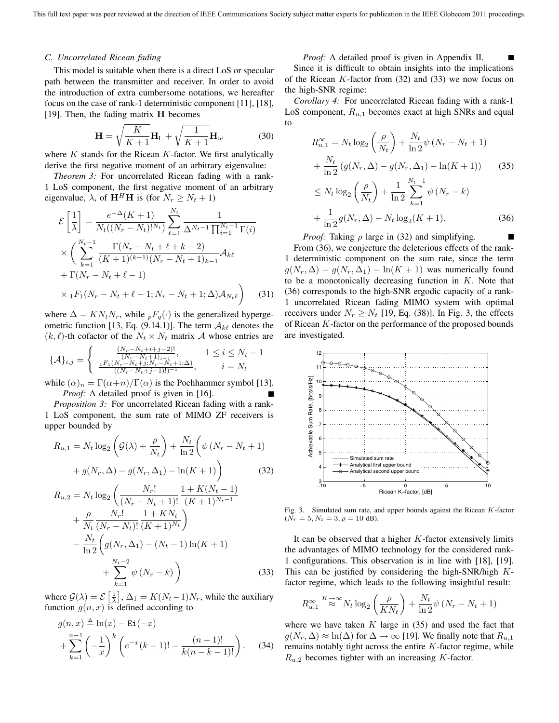#### *C. Uncorrelated Ricean fading*

This model is suitable when there is a direct LoS or specular path between the transmitter and receiver. In order to avoid the introduction of extra cumbersome notations, we hereafter focus on the case of rank-1 deterministic component [11], [18], [19]. Then, the fading matrix **H** becomes

$$
\mathbf{H} = \sqrt{\frac{K}{K+1}} \mathbf{H}_{\text{L}} + \sqrt{\frac{1}{K+1}} \mathbf{H}_{w}
$$
 (30)

where  $K$  stands for the Ricean  $K$ -factor. We first analytically derive the first negative moment of an arbitrary eigenvalue:

*Theorem 3:* For uncorrelated Ricean fading with a rank-1 LoS component, the first negative moment of an arbitrary eigenvalue,  $\lambda$ , of  $\mathbf{H}^H\mathbf{H}$  is (for  $N_r \geq N_t + 1$ )

$$
\mathcal{E}\left[\frac{1}{\lambda}\right] = \frac{e^{-\Delta}(K+1)}{N_t((N_r - N_t)!^{N_t})} \sum_{\ell=1}^{N_t} \frac{1}{\Delta^{N_t - 1} \prod_{i=1}^{N_t - 1} \Gamma(i)}
$$
  
 
$$
\times \left(\sum_{k=1}^{N_t - 1} \frac{\Gamma(N_r - N_t + \ell + k - 2)}{(K + 1)^{(k-1)}(N_r - N_t + 1)_{k-1}} \mathcal{A}_{k\ell}
$$
  
+ 
$$
\Gamma(N_r - N_t + \ell - 1)
$$
  
 
$$
\times {}_1F_1(N_r - N_t + \ell - 1; N_r - N_t + 1; \Delta) \mathcal{A}_{N_t\ell}\right) \tag{31}
$$

where  $\Delta = KN_tN_r$ , while  $pF_q(\cdot)$  is the generalized hypergeometric function [13, Eq. (9.14.1)]. The term  $A_{k\ell}$  denotes the  $(k, \ell)$ -th cofactor of the  $N_t \times N_t$  matrix A whose entries are

$$
\{\mathcal{A}\}_{i,j} = \begin{cases} \frac{(N_r - N_t + i + j - 2)!}{(N_r - N_t + 1)_{i-1}}, & 1 \le i \le N_t - 1\\ \frac{{}_1F_1(N_r - N_t + j; N_r - N_t + 1; \Delta)}{((N_r - N_t + j - 1)!)^{-1}}, & i = N_t \end{cases}
$$

while  $(\alpha)_n = \Gamma(\alpha+n)/\Gamma(\alpha)$  is the Pochhammer symbol [13]. *Proof:* A detailed proof is given in [16].

*Proposition 3:* For uncorrelated Ricean fading with a rank-1 LoS component, the sum rate of MIMO ZF receivers is upper bounded by

$$
R_{u,1} = N_t \log_2 \left( \mathcal{G}(\lambda) + \frac{\rho}{N_t} \right) + \frac{N_t}{\ln 2} \left( \psi \left( N_r - N_t + 1 \right) + g(N_r, \Delta) - g(N_r, \Delta_1) - \ln(K + 1) \right)
$$
(32)

$$
R_{u,2} = N_t \log_2 \left( \frac{N_r!}{(N_r - N_t + 1)!} \frac{1 + K(N_t - 1)}{(K + 1)^{N_t - 1}} + \frac{\rho}{N_t} \frac{N_r!}{(N_r - N_t)!} \frac{1 + KN_t}{(K + 1)^{N_t}} \right) - \frac{N_t}{\ln 2} \left( g(N_r, \Delta_1) - (N_t - 1) \ln(K + 1) + \sum_{k=1}^{N_t - 2} \psi(N_r - k) \right)
$$
(33)

where  $G(\lambda) = \mathcal{E}\left[\frac{1}{\lambda}\right], \Delta_1 = K(N_t-1)N_r$ , while the auxiliary function  $g(n, x)$  is defined according to

$$
g(n,x) \triangleq \ln(x) - \text{Ei}(-x)
$$
  
+ 
$$
\sum_{k=1}^{n-1} \left(-\frac{1}{x}\right)^k \left(e^{-x}(k-1)! - \frac{(n-1)!}{k(n-k-1)!}\right).
$$
 (34)

#### *Proof:* A detailed proof is given in Appendix II.

Since it is difficult to obtain insights into the implications of the Ricean  $K$ -factor from (32) and (33) we now focus on the high-SNR regime:

*Corollary 4:* For uncorrelated Ricean fading with a rank-1 LoS component,  $R_{u,1}$  becomes exact at high SNRs and equal to

$$
R_{u,1}^{\infty} = N_t \log_2 \left(\frac{\rho}{N_t}\right) + \frac{N_t}{\ln 2} \psi \left(N_r - N_t + 1\right) + \frac{N_t}{\ln 2} \left(g(N_r, \Delta) - g(N_r, \Delta_1) - \ln(K + 1)\right)
$$
(35)  

$$
\leq N_t \log_2 \left(\frac{\rho}{N_t}\right) + \frac{1}{\ln 2} \sum_{k=1}^{N_t - 1} \psi \left(N_r - k\right) + \frac{1}{\ln 2} g(N_r, \Delta) - N_t \log_2(K + 1).
$$
(36)

*Proof:* Taking  $\rho$  large in (32) and simplifying. From (36), we conjecture the deleterious effects of the rank-1 deterministic component on the sum rate, since the term  $g(N_r, \Delta) - g(N_r, \Delta_1) - \ln(K + 1)$  was numerically found to be a monotonically decreasing function in  $K$ . Note that (36) corresponds to the high-SNR ergodic capacity of a rank-1 uncorrelated Ricean fading MIMO system with optimal receivers under  $N_r \ge N_t$  [19, Eq. (38)]. In Fig. 3, the effects of Ricean K-factor on the performance of the proposed bounds are investigated.



Fig. 3. Simulated sum rate, and upper bounds against the Ricean K-factor  $(N_r = 5, N_t = 3, \rho = 10 \text{ dB}).$ 

It can be observed that a higher  $K$ -factor extensively limits the advantages of MIMO technology for the considered rank-1 configurations. This observation is in line with [18], [19]. This can be justified by considering the high-SNR/high  $K$ factor regime, which leads to the following insightful result:

$$
R_{u,1}^{\infty} \stackrel{K\to\infty}{\approx} N_t \log_2\left(\frac{\rho}{KN_t}\right) + \frac{N_t}{\ln 2} \psi \left(N_r - N_t + 1\right)
$$

where we have taken  $K$  large in  $(35)$  and used the fact that  $g(N_r, \Delta) \approx \ln(\Delta)$  for  $\Delta \to \infty$  [19]. We finally note that  $R_{u,1}$ remains notably tight across the entire  $K$ -factor regime, while  $R_{u,2}$  becomes tighter with an increasing K-factor.